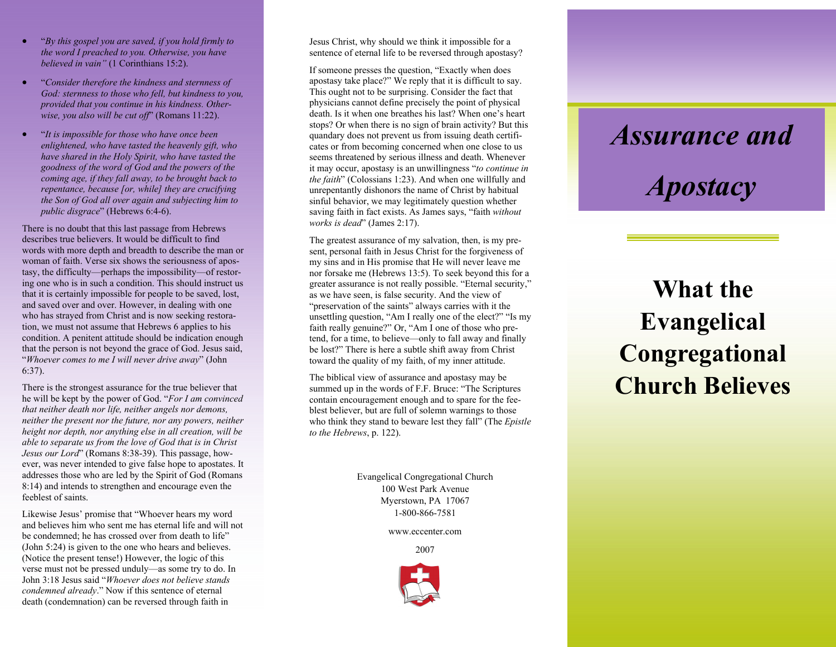- "*By this gospel you are saved, if you hold firmly to the word I preached to you. Otherwise, you have believed in vain"* (1 Corinthians 15:2).
- "*Consider therefore the kindness and sternness of God: sternness to those who fell, but kindness to you, provided that you continue in his kindness. Otherwise, you also will be cut off*" (Romans 11:22).
- "*It is impossible for those who have once been enlightened, who have tasted the heavenly gift, who have shared in the Holy Spirit, who have tasted the goodness of the word of God and the powers of the coming age, if they fall away, to be brought back to repentance, because [or, while] they are crucifying the Son of God all over again and subjecting him to public disgrace*" (Hebrews 6:4-6).

There is no doubt that this last passage from Hebrews describes true believers. It would be difficult to find words with more depth and breadth to describe the man or woman of faith. Verse six shows the seriousness of apostasy, the difficulty—perhaps the impossibility—of restoring one who is in such a condition. This should instruct us that it is certainly impossible for people to be saved, lost, and saved over and over. However, in dealing with one who has strayed from Christ and is now seeking restoration, we must not assume that Hebrews 6 applies to his condition. A penitent attitude should be indication enough that the person is not beyond the grace of God. Jesus said, "*Whoever comes to me I will never drive away*" (John 6:37).

There is the strongest assurance for the true believer that he will be kept by the power of God. "*For I am convinced that neither death nor life, neither angels nor demons, neither the present nor the future, nor any powers, neither height nor depth, nor anything else in all creation, will be able to separate us from the love of God that is in Christ Jesus our Lord*" (Romans 8:38-39). This passage, however, was never intended to give false hope to apostates. It addresses those who are led by the Spirit of God (Romans 8:14) and intends to strengthen and encourage even the feeblest of saints.

Likewise Jesus' promise that "Whoever hears my word and believes him who sent me has eternal life and will not be condemned; he has crossed over from death to life" (John 5:24) is given to the one who hears and believes. (Notice the present tense!) However, the logic of this verse must not be pressed unduly—as some try to do. In John 3:18 Jesus said "*Whoever does not believe stands condemned already*." Now if this sentence of eternal death (condemnation) can be reversed through faith in

Jesus Christ, why should we think it impossible for a sentence of eternal life to be reversed through apostasy?

If someone presses the question, "Exactly when does apostasy take place?" We reply that it is difficult to say. This ought not to be surprising. Consider the fact that physicians cannot define precisely the point of physical death. Is it when one breathes his last? When one's heart stops? Or when there is no sign of brain activity? But this quandary does not prevent us from issuing death certificates or from becoming concerned when one close to us seems threatened by serious illness and death. Whenever it may occur, apostasy is an unwillingness "*to continue in the faith*" (Colossians 1:23). And when one willfully and unrepentantly dishonors the name of Christ by habitual sinful behavior, we may legitimately question whether saving faith in fact exists. As James says, "faith *without works is dead*" (James 2:17).

The greatest assurance of my salvation, then, is my present, personal faith in Jesus Christ for the forgiveness of my sins and in His promise that He will never leave me nor forsake me (Hebrews 13:5). To seek beyond this for a greater assurance is not really possible. "Eternal security," as we have seen, is false security. And the view of "preservation of the saints" always carries with it the unsettling question, "Am I really one of the elect?" "Is my faith really genuine?" Or, "Am I one of those who pretend, for a time, to believe—only to fall away and finally be lost?" There is here a subtle shift away from Christ toward the quality of my faith, of my inner attitude.

The biblical view of assurance and apostasy may be summed up in the words of F.F. Bruce: "The Scriptures contain encouragement enough and to spare for the feeblest believer, but are full of solemn warnings to those who think they stand to beware lest they fall" (The *Epistle to the Hebrews*, p. 122).

> Evangelical Congregational Church 100 West Park Avenue Myerstown, PA 17067 1-800-866-7581

> > www.eccenter.com

2007



## *Assurance and*

## *Apostacy*

## **What the Evangelical Congregational Church Believes**